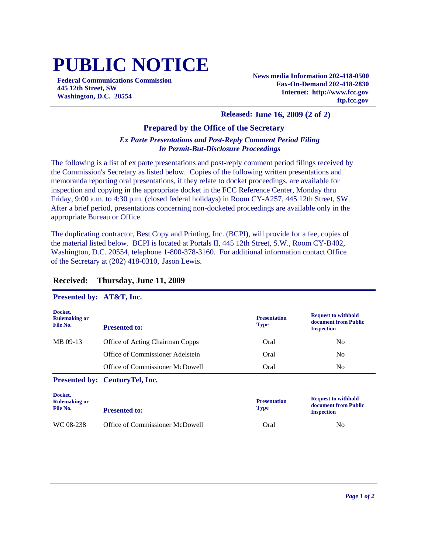# **PUBLIC NOTICE**

**Federal Communications Commission 445 12th Street, SW Washington, D.C. 20554**

**News media Information 202-418-0500 Fax-On-Demand 202-418-2830 Internet: http://www.fcc.gov ftp.fcc.gov**

## **Released: June 16, 2009 (2 of 2)**

## **Prepared by the Office of the Secretary**

# *Ex Parte Presentations and Post-Reply Comment Period Filing In Permit-But-Disclosure Proceedings*

The following is a list of ex parte presentations and post-reply comment period filings received by the Commission's Secretary as listed below. Copies of the following written presentations and memoranda reporting oral presentations, if they relate to docket proceedings, are available for inspection and copying in the appropriate docket in the FCC Reference Center, Monday thru Friday, 9:00 a.m. to 4:30 p.m. (closed federal holidays) in Room CY-A257, 445 12th Street, SW. After a brief period, presentations concerning non-docketed proceedings are available only in the appropriate Bureau or Office.

The duplicating contractor, Best Copy and Printing, Inc. (BCPI), will provide for a fee, copies of the material listed below. BCPI is located at Portals II, 445 12th Street, S.W., Room CY-B402, Washington, D.C. 20554, telephone 1-800-378-3160. For additional information contact Office of the Secretary at (202) 418-0310, Jason Lewis.

#### **Docket, Rulemaking or File No. Presentation Type Request to withhold document from Public Presented to: Inspection Inspection Inspection** MB 09-13 Office of Acting Chairman Copps Oral No Office of Commissioner Adelstein Cral Oral No Office of Commissioner McDowell **Oral** Oral No **Presented by: CenturyTel, Inc. Docket, Rulemaking or File No. Presentation Type Request to withhold document from Public Presented to: Iype Inspection** WC 08-238 Office of Commissioner McDowell Coral Oral No

# **Received: Thursday, June 11, 2009**

# **Presented by: AT&T, Inc.**